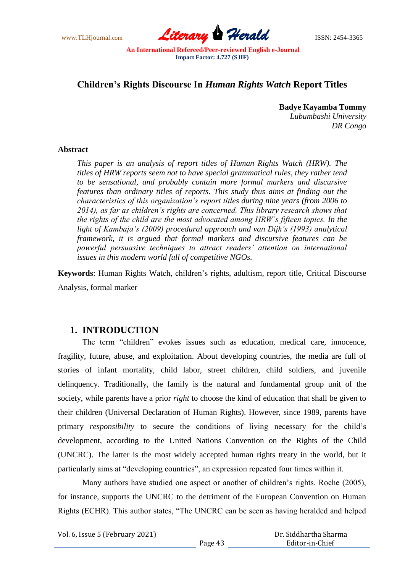www.TLHjournal.com *Literary Herald*ISSN: 2454-3365

# **Children"s Rights Discourse In** *Human Rights Watch* **Report Titles**

**Badye Kayamba Tommy** *Lubumbashi University DR Congo*

### **Abstract**

*This paper is an analysis of report titles of Human Rights Watch (HRW). The titles of HRW reports seem not to have special grammatical rules, they rather tend to be sensational, and probably contain more formal markers and discursive features than ordinary titles of reports. This study thus aims at finding out the characteristics of this organization's report titles during nine years (from 2006 to 2014), as far as children's rights are concerned. This library research shows that the rights of the child are the most advocated among HRW's fifteen topics. In the light of Kambaja's (2009) procedural approach and van Dijk's (1993) analytical framework, it is argued that formal markers and discursive features can be powerful persuasive techniques to attract readers' attention on international issues in this modern world full of competitive NGOs.* 

**Keywords**: Human Rights Watch, children"s rights, adultism, report title, Critical Discourse Analysis, formal marker

# **1. INTRODUCTION**

The term "children" evokes issues such as education, medical care, innocence, fragility, future, abuse, and exploitation. About developing countries, the media are full of stories of infant mortality, child labor, street children, child soldiers, and juvenile delinquency. Traditionally, the family is the natural and fundamental group unit of the society, while parents have a prior *right* to choose the kind of education that shall be given to their children (Universal Declaration of Human Rights). However, since 1989, parents have primary *responsibility* to secure the conditions of living necessary for the child"s development, according to the United Nations Convention on the Rights of the Child (UNCRC). The latter is the most widely accepted human rights treaty in the world, but it particularly aims at "developing countries", an expression repeated four times within it.

Many authors have studied one aspect or another of children's rights. Roche (2005), for instance, supports the UNCRC to the detriment of the European Convention on Human Rights (ECHR). This author states, "The UNCRC can be seen as having heralded and helped

Vol. 6, Issue 5 (February 2021)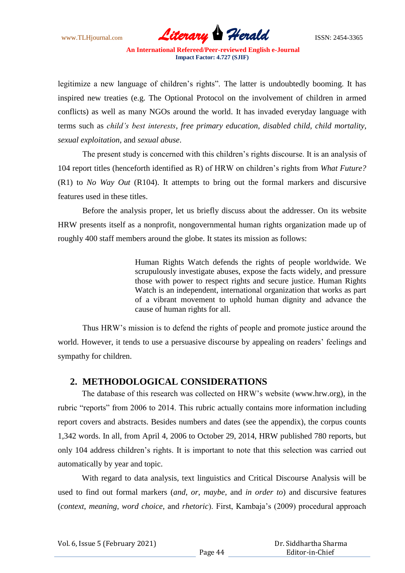www.TLHjournal.com *Literary Herald*ISSN: 2454-3365

legitimize a new language of children's rights". The latter is undoubtedly booming. It has inspired new treaties (e.g. The Optional Protocol on the involvement of children in armed conflicts) as well as many NGOs around the world. It has invaded everyday language with terms such as *child's best interests*, *free primary education*, *disabled child*, *child mortality*, *sexual exploitation*, and *sexual abuse*.

The present study is concerned with this children"s rights discourse. It is an analysis of 104 report titles (henceforth identified as R) of HRW on children"s rights from *What Future?* (R1) to *No Way Out* (R104). It attempts to bring out the formal markers and discursive features used in these titles.

Before the analysis proper, let us briefly discuss about the addresser. On its website HRW presents itself as a nonprofit, nongovernmental human rights organization made up of roughly 400 staff members around the globe. It states its mission as follows:

> Human Rights Watch defends the rights of people worldwide. We scrupulously investigate abuses, expose the facts widely, and pressure those with power to respect rights and secure justice. Human Rights Watch is an independent, international organization that works as part of a vibrant movement to uphold human dignity and advance the cause of human rights for all.

Thus HRW"s mission is to defend the rights of people and promote justice around the world. However, it tends to use a persuasive discourse by appealing on readers' feelings and sympathy for children.

# **2. METHODOLOGICAL CONSIDERATIONS**

The database of this research was collected on HRW"s website (www.hrw.org), in the rubric "reports" from 2006 to 2014. This rubric actually contains more information including report covers and abstracts. Besides numbers and dates (see the appendix), the corpus counts 1,342 words. In all, from April 4, 2006 to October 29, 2014, HRW published 780 reports, but only 104 address children"s rights. It is important to note that this selection was carried out automatically by year and topic.

With regard to data analysis, text linguistics and Critical Discourse Analysis will be used to find out formal markers (*and*, *or*, *maybe*, and *in order to*) and discursive features (*context*, *meaning*, *word choice*, and *rhetoric*). First, Kambaja"s (2009) procedural approach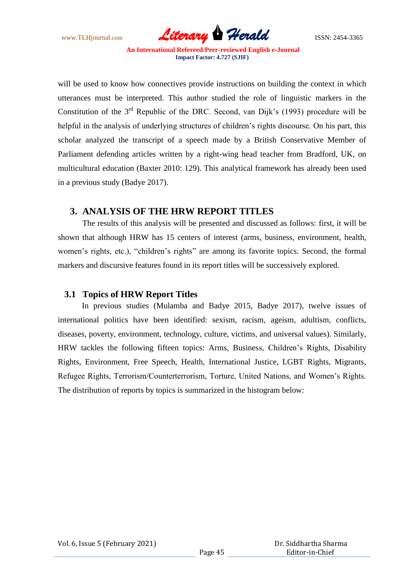www.TLHjournal.com *Literary Herald*ISSN: 2454-3365

will be used to know how connectives provide instructions on building the context in which utterances must be interpreted. This author studied the role of linguistic markers in the Constitution of the  $3<sup>rd</sup>$  Republic of the DRC. Second, van Dijk's (1993) procedure will be helpful in the analysis of underlying structures of children's rights discourse. On his part, this scholar analyzed the transcript of a speech made by a British Conservative Member of Parliament defending articles written by a right-wing head teacher from Bradford, UK, on multicultural education (Baxter 2010: 129). This analytical framework has already been used in a previous study (Badye 2017).

# **3. ANALYSIS OF THE HRW REPORT TITLES**

The results of this analysis will be presented and discussed as follows: first, it will be shown that although HRW has 15 centers of interest (arms, business, environment, health, women"s rights, etc.), "children"s rights" are among its favorite topics. Second, the formal markers and discursive features found in its report titles will be successively explored.

## **3.1 Topics of HRW Report Titles**

In previous studies (Mulamba and Badye 2015, Badye 2017), twelve issues of international politics have been identified: sexism, racism, ageism, adultism, conflicts, diseases, poverty, environment, technology, culture, victims, and universal values). Similarly, HRW tackles the following fifteen topics: Arms, Business, Children"s Rights, Disability Rights, Environment, Free Speech, Health, International Justice, LGBT Rights, Migrants, Refugee Rights, Terrorism/Counterterrorism, Torture, United Nations, and Women"s Rights. The distribution of reports by topics is summarized in the histogram below: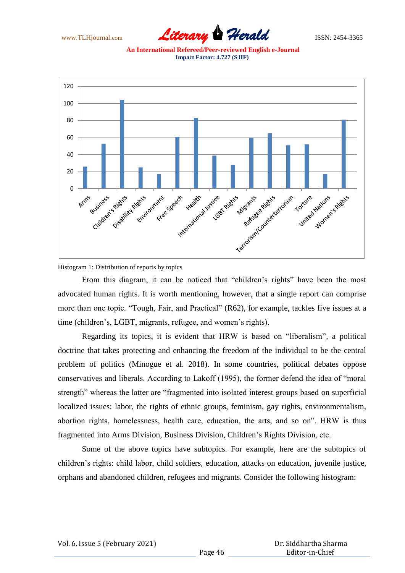

**An International Refereed/Peer-reviewed English e-Journal Impact Factor: 4.727 (SJIF)**



Histogram 1: Distribution of reports by topics

From this diagram, it can be noticed that "children's rights" have been the most advocated human rights. It is worth mentioning, however, that a single report can comprise more than one topic. "Tough, Fair, and Practical" (R62), for example, tackles five issues at a time (children"s, LGBT, migrants, refugee, and women"s rights).

Regarding its topics, it is evident that HRW is based on "liberalism", a political doctrine that takes protecting and enhancing the freedom of the individual to be the central problem of politics (Minogue et al. 2018). In some countries, political debates oppose conservatives and liberals. According to Lakoff (1995), the former defend the idea of "moral strength" whereas the latter are "fragmented into isolated interest groups based on superficial localized issues: labor, the rights of ethnic groups, feminism, gay rights, environmentalism, abortion rights, homelessness, health care, education, the arts, and so on". HRW is thus fragmented into Arms Division, Business Division, Children"s Rights Division, etc.

Some of the above topics have subtopics. For example, here are the subtopics of children"s rights: child labor, child soldiers, education, attacks on education, juvenile justice, orphans and abandoned children, refugees and migrants. Consider the following histogram: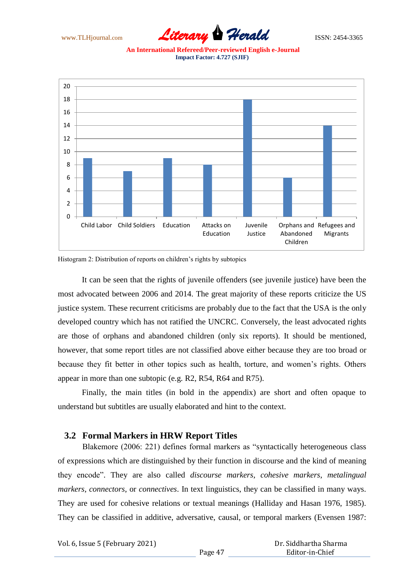

**An International Refereed/Peer-reviewed English e-Journal Impact Factor: 4.727 (SJIF)**



Histogram 2: Distribution of reports on children"s rights by subtopics

It can be seen that the rights of juvenile offenders (see juvenile justice) have been the most advocated between 2006 and 2014. The great majority of these reports criticize the US justice system. These recurrent criticisms are probably due to the fact that the USA is the only developed country which has not ratified the UNCRC. Conversely, the least advocated rights are those of orphans and abandoned children (only six reports). It should be mentioned, however, that some report titles are not classified above either because they are too broad or because they fit better in other topics such as health, torture, and women"s rights. Others appear in more than one subtopic (e.g. R2, R54, R64 and R75).

Finally, the main titles (in bold in the appendix) are short and often opaque to understand but subtitles are usually elaborated and hint to the context.

## **3.2 Formal Markers in HRW Report Titles**

Blakemore (2006: 221) defines formal markers as "syntactically heterogeneous class of expressions which are distinguished by their function in discourse and the kind of meaning they encode". They are also called *discourse markers*, *cohesive markers*, *metalingual markers*, *connectors*, or *connectives*. In text linguistics, they can be classified in many ways. They are used for cohesive relations or textual meanings (Halliday and Hasan 1976, 1985). They can be classified in additive, adversative, causal, or temporal markers (Evensen 1987: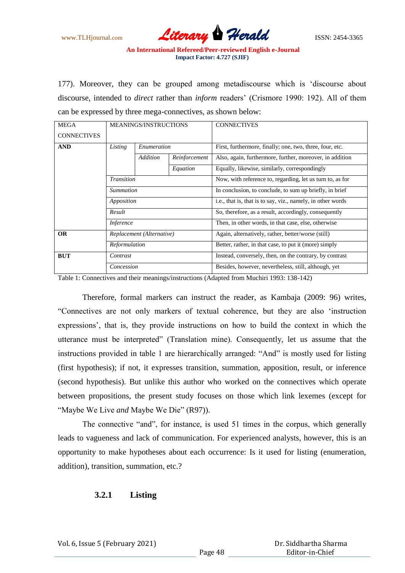www.TLHjournal.com *Literary Herald*ISSN: 2454-3365

177). Moreover, they can be grouped among metadiscourse which is "discourse about discourse, intended to *direct* rather than *inform* readers" (Crismore 1990: 192). All of them can be expressed by three mega-connectives, as shown below:

| <b>MEGA</b>        | <b>MEANINGS/INSTRUCTIONS</b>                                                                                 |  | <b>CONNECTIVES</b>                                          |
|--------------------|--------------------------------------------------------------------------------------------------------------|--|-------------------------------------------------------------|
| <b>CONNECTIVES</b> |                                                                                                              |  |                                                             |
| <b>AND</b>         | Listing<br>Enumeration                                                                                       |  | First, furthermore, finally; one, two, three, four, etc.    |
|                    | Addition<br>Reinforcement<br>Equation<br>Transition<br>Summation<br>Apposition<br>Result<br><i>Inference</i> |  | Also, again, furthermore, further, moreover, in addition    |
|                    |                                                                                                              |  | Equally, likewise, similarly, correspondingly               |
|                    |                                                                                                              |  | Now, with reference to, regarding, let us turn to, as for   |
|                    |                                                                                                              |  | In conclusion, to conclude, to sum up briefly, in brief     |
|                    |                                                                                                              |  | i.e., that is, that is to say, viz., namely, in other words |
|                    |                                                                                                              |  | So, therefore, as a result, accordingly, consequently       |
|                    |                                                                                                              |  | Then, in other words, in that case, else, otherwise         |
| <b>OR</b>          | Replacement (Alternative)                                                                                    |  | Again, alternatively, rather, better/worse (still)          |
|                    | Reformulation                                                                                                |  | Better, rather, in that case, to put it (more) simply       |
| <b>BUT</b>         | Contrast                                                                                                     |  | Instead, conversely, then, on the contrary, by contrast     |
|                    | Concession                                                                                                   |  | Besides, however, nevertheless, still, although, yet        |

Table 1: Connectives and their meanings/instructions (Adapted from Muchiri 1993: 138-142)

Therefore, formal markers can instruct the reader, as Kambaja (2009: 96) writes, "Connectives are not only markers of textual coherence, but they are also "instruction expressions', that is, they provide instructions on how to build the context in which the utterance must be interpreted" (Translation mine). Consequently, let us assume that the instructions provided in table 1 are hierarchically arranged: "And" is mostly used for listing (first hypothesis); if not, it expresses transition, summation, apposition, result, or inference (second hypothesis). But unlike this author who worked on the connectives which operate between propositions, the present study focuses on those which link lexemes (except for "Maybe We Live *and* Maybe We Die" (R97)).

The connective "and", for instance, is used 51 times in the corpus, which generally leads to vagueness and lack of communication. For experienced analysts, however, this is an opportunity to make hypotheses about each occurrence: Is it used for listing (enumeration, addition), transition, summation, etc.?

## **3.2.1 Listing**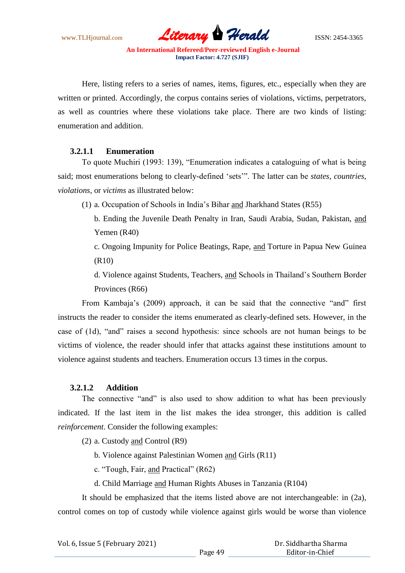www.TLHjournal.com *Literary Herald*ISSN: 2454-3365

Here, listing refers to a series of names, items, figures, etc., especially when they are written or printed. Accordingly, the corpus contains series of violations, victims, perpetrators, as well as countries where these violations take place. There are two kinds of listing: enumeration and addition.

## **3.2.1.1 Enumeration**

To quote Muchiri (1993: 139), "Enumeration indicates a cataloguing of what is being said; most enumerations belong to clearly-defined "sets"". The latter can be *states, countries*, *violations*, or *victims* as illustrated below:

(1) a. Occupation of Schools in India"s Bihar and Jharkhand States (R55)

b. Ending the Juvenile Death Penalty in Iran, Saudi Arabia, Sudan, Pakistan, and Yemen (R40)

c. Ongoing Impunity for Police Beatings, Rape, and Torture in Papua New Guinea (R10)

d. Violence against Students, Teachers, and Schools in Thailand"s Southern Border Provinces (R66)

From Kambaja"s (2009) approach, it can be said that the connective "and" first instructs the reader to consider the items enumerated as clearly-defined sets. However, in the case of (1d), "and" raises a second hypothesis: since schools are not human beings to be victims of violence, the reader should infer that attacks against these institutions amount to violence against students and teachers. Enumeration occurs 13 times in the corpus.

## **3.2.1.2 Addition**

The connective "and" is also used to show addition to what has been previously indicated. If the last item in the list makes the idea stronger, this addition is called *reinforcement*. Consider the following examples:

(2) a. Custody and Control (R9)

b. Violence against Palestinian Women and Girls (R11)

c. "Tough, Fair, and Practical" (R62)

d. Child Marriage and Human Rights Abuses in Tanzania (R104)

It should be emphasized that the items listed above are not interchangeable: in (2a), control comes on top of custody while violence against girls would be worse than violence

| Vol. 6, Issue 5 (February 2021) |  |  |  |  |  |
|---------------------------------|--|--|--|--|--|
|---------------------------------|--|--|--|--|--|

 Dr. Siddhartha Sharma Editor-in-Chief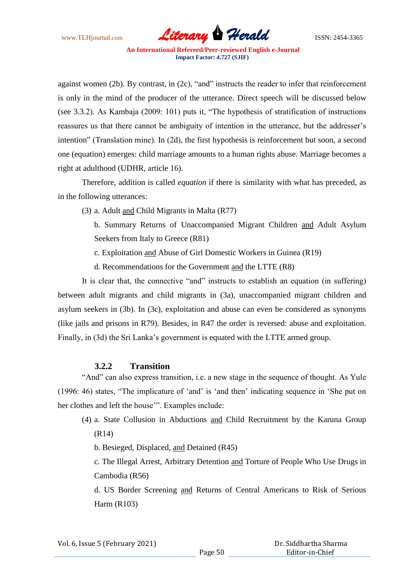www.TLHjournal.com **Literary Herald Herald** ISSN: 2454-3365

against women (2b). By contrast, in (2c), "and" instructs the reader to infer that reinforcement is only in the mind of the producer of the utterance. Direct speech will be discussed below (see 3.3.2). As Kambaja (2009: 101) puts it, "The hypothesis of stratification of instructions reassures us that there cannot be ambiguity of intention in the utterance, but the addresser's intention" (Translation mine). In (2d), the first hypothesis is reinforcement but soon, a second one (equation) emerges: child marriage amounts to a human rights abuse. Marriage becomes a right at adulthood (UDHR, article 16).

Therefore, addition is called *equation* if there is similarity with what has preceded, as in the following utterances:

(3) a. Adult and Child Migrants in Malta (R77)

b. Summary Returns of Unaccompanied Migrant Children and Adult Asylum Seekers from Italy to Greece (R81)

- c. Exploitation and Abuse of Girl Domestic Workers in Guinea (R19)
- d. Recommendations for the Government and the LTTE (R8)

It is clear that, the connective "and" instructs to establish an equation (in suffering) between adult migrants and child migrants in (3a), unaccompanied migrant children and asylum seekers in (3b). In (3c), exploitation and abuse can even be considered as synonyms (like jails and prisons in R79). Besides, in R47 the order is reversed: abuse and exploitation. Finally, in (3d) the Sri Lanka's government is equated with the LTTE armed group.

### **3.2.2 Transition**

"And" can also express transition, i.e. a new stage in the sequence of thought. As Yule (1996: 46) states, "The implicature of "and" is "and then" indicating sequence in "She put on her clothes and left the house"". Examples include:

(4) a. State Collusion in Abductions and Child Recruitment by the Karuna Group (R14)

b. Besieged, Displaced, and Detained (R45)

c. The Illegal Arrest, Arbitrary Detention and Torture of People Who Use Drugs in Cambodia (R56)

d. US Border Screening and Returns of Central Americans to Risk of Serious Harm (R103)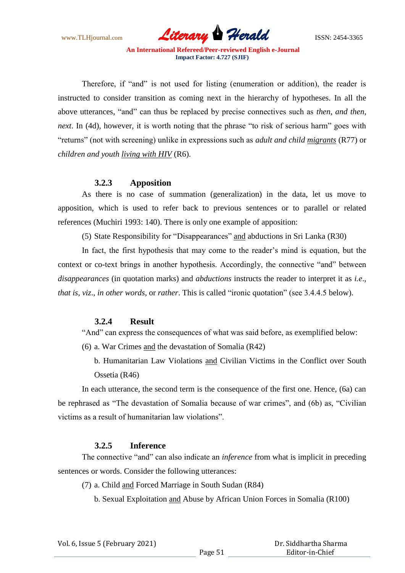www.TLHjournal.com *Literary Herald*ISSN: 2454-3365

Therefore, if "and" is not used for listing (enumeration or addition), the reader is instructed to consider transition as coming next in the hierarchy of hypotheses. In all the above utterances, "and" can thus be replaced by precise connectives such as *then*, *and then*, *next*. In (4d), however, it is worth noting that the phrase "to risk of serious harm" goes with "returns" (not with screening) unlike in expressions such as *adult and child migrants* (R77) or *children and youth living with HIV* (R6).

### **3.2.3 Apposition**

As there is no case of summation (generalization) in the data, let us move to apposition, which is used to refer back to previous sentences or to parallel or related references (Muchiri 1993: 140). There is only one example of apposition:

(5) State Responsibility for "Disappearances" and abductions in Sri Lanka (R30)

In fact, the first hypothesis that may come to the reader's mind is equation, but the context or co-text brings in another hypothesis. Accordingly, the connective "and" between *disappearances* (in quotation marks) and *abductions* instructs the reader to interpret it as *i.e*., *that is*, *viz*., *in other words*, or *rather*. This is called "ironic quotation" (see 3.4.4.5 below).

### **3.2.4 Result**

"And" can express the consequences of what was said before, as exemplified below:

(6) a. War Crimes and the devastation of Somalia (R42)

b. Humanitarian Law Violations and Civilian Victims in the Conflict over South Ossetia (R46)

In each utterance, the second term is the consequence of the first one. Hence, (6a) can be rephrased as "The devastation of Somalia because of war crimes", and (6b) as, "Civilian victims as a result of humanitarian law violations".

## **3.2.5 Inference**

The connective "and" can also indicate an *inference* from what is implicit in preceding sentences or words. Consider the following utterances:

(7) a. Child and Forced Marriage in South Sudan (R84)

b. Sexual Exploitation and Abuse by African Union Forces in Somalia (R100)

| Vol. 6, Issue 5 (February 2021) |  |  |  |  |  |
|---------------------------------|--|--|--|--|--|
|---------------------------------|--|--|--|--|--|

 Dr. Siddhartha Sharma Editor-in-Chief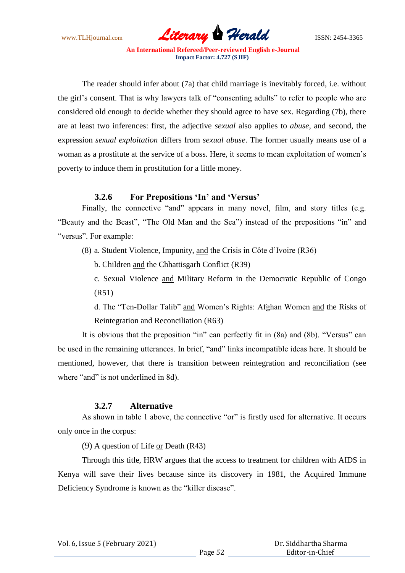www.TLHjournal.com *Literary Herald*ISSN: 2454-3365

The reader should infer about (7a) that child marriage is inevitably forced, i.e. without the girl"s consent. That is why lawyers talk of "consenting adults" to refer to people who are considered old enough to decide whether they should agree to have sex. Regarding (7b), there are at least two inferences: first, the adjective *sexual* also applies to *abuse*, and second, the expression *sexual exploitation* differs from *sexual abuse*. The former usually means use of a woman as a prostitute at the service of a boss. Here, it seems to mean exploitation of women"s poverty to induce them in prostitution for a little money.

## **3.2.6 For Prepositions "In" and "Versus"**

Finally, the connective "and" appears in many novel, film, and story titles (e.g. "Beauty and the Beast", "The Old Man and the Sea") instead of the prepositions "in" and "versus". For example:

(8) a. Student Violence, Impunity, and the Crisis in Côte d"Ivoire (R36)

b. Children and the Chhattisgarh Conflict (R39)

c. Sexual Violence and Military Reform in the Democratic Republic of Congo (R51)

d. The "Ten-Dollar Talib" and Women"s Rights: Afghan Women and the Risks of Reintegration and Reconciliation (R63)

It is obvious that the preposition "in" can perfectly fit in (8a) and (8b). "Versus" can be used in the remaining utterances. In brief, "and" links incompatible ideas here. It should be mentioned, however, that there is transition between reintegration and reconciliation (see where "and" is not underlined in 8d).

## **3.2.7 Alternative**

As shown in table 1 above, the connective "or" is firstly used for alternative. It occurs only once in the corpus:

(9) A question of Life or Death (R43)

Through this title, HRW argues that the access to treatment for children with AIDS in Kenya will save their lives because since its discovery in 1981, the Acquired Immune Deficiency Syndrome is known as the "killer disease".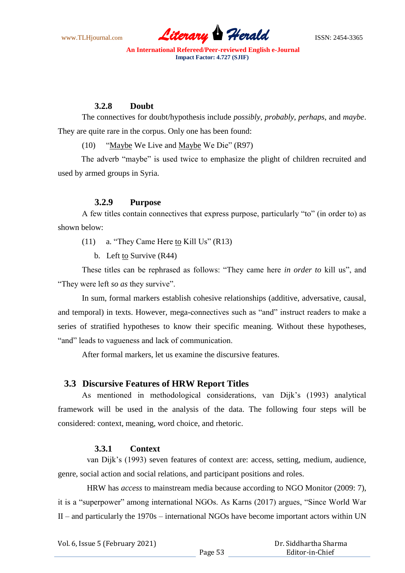www.TLHjournal.com *Literary Herald*ISSN: 2454-3365

## **3.2.8 Doubt**

The connectives for doubt/hypothesis include *possibly*, *probably*, *perhaps*, and *maybe*. They are quite rare in the corpus. Only one has been found:

(10) "Maybe We Live and Maybe We Die" (R97)

The adverb "maybe" is used twice to emphasize the plight of children recruited and used by armed groups in Syria.

## **3.2.9 Purpose**

A few titles contain connectives that express purpose, particularly "to" (in order to) as shown below:

- (11) a. "They Came Here to Kill Us" (R13)
	- b. Left to Survive (R44)

These titles can be rephrased as follows: "They came here *in order to* kill us", and "They were left *so as* they survive".

In sum, formal markers establish cohesive relationships (additive, adversative, causal, and temporal) in texts. However, mega-connectives such as "and" instruct readers to make a series of stratified hypotheses to know their specific meaning. Without these hypotheses, "and" leads to vagueness and lack of communication.

After formal markers, let us examine the discursive features.

## **3.3 Discursive Features of HRW Report Titles**

As mentioned in methodological considerations, van Dijk"s (1993) analytical framework will be used in the analysis of the data. The following four steps will be considered: context, meaning, word choice, and rhetoric.

### **3.3.1 Context**

van Dijk"s (1993) seven features of context are: access, setting, medium, audience, genre, social action and social relations, and participant positions and roles.

HRW has *access* to mainstream media because according to NGO Monitor (2009: 7), it is a "superpower" among international NGOs. As Karns (2017) argues, "Since World War II – and particularly the 1970s – international NGOs have become important actors within UN

| Vol. 6, Issue 5 (February 2021) |         | Dr. Siddhartha Sharma |
|---------------------------------|---------|-----------------------|
|                                 | Page 53 | Editor-in-Chief       |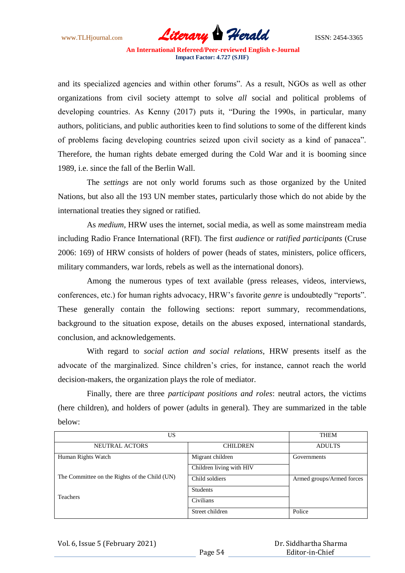www.TLHjournal.com **Literary Herald Herald** ISSN: 2454-3365

and its specialized agencies and within other forums". As a result, NGOs as well as other organizations from civil society attempt to solve *all* social and political problems of developing countries. As Kenny (2017) puts it, "During the 1990s, in particular, many authors, politicians, and public authorities keen to find solutions to some of the different kinds of problems facing developing countries seized upon civil society as a kind of panacea". Therefore, the human rights debate emerged during the Cold War and it is booming since 1989, i.e. since the fall of the Berlin Wall.

The *settings* are not only world forums such as those organized by the United Nations, but also all the 193 UN member states, particularly those which do not abide by the international treaties they signed or ratified.

As *medium*, HRW uses the internet, social media, as well as some mainstream media including Radio France International (RFI). The first *audience* or *ratified participants* (Cruse 2006: 169) of HRW consists of holders of power (heads of states, ministers, police officers, military commanders, war lords, rebels as well as the international donors).

Among the numerous types of text available (press releases, videos, interviews, conferences, etc.) for human rights advocacy, HRW"s favorite *genre* is undoubtedly "reports". These generally contain the following sections: report summary, recommendations, background to the situation expose, details on the abuses exposed, international standards, conclusion, and acknowledgements.

With regard to *social action and social relations*, HRW presents itself as the advocate of the marginalized. Since children"s cries, for instance, cannot reach the world decision-makers, the organization plays the role of mediator.

Finally, there are three *participant positions and roles*: neutral actors, the victims (here children), and holders of power (adults in general). They are summarized in the table below:

| US                                            |                          | <b>THEM</b>               |
|-----------------------------------------------|--------------------------|---------------------------|
| <b>NEUTRAL ACTORS</b>                         | <b>CHILDREN</b>          | <b>ADULTS</b>             |
| Human Rights Watch                            | Migrant children         | Governments               |
|                                               | Children living with HIV |                           |
| The Committee on the Rights of the Child (UN) | Child soldiers           | Armed groups/Armed forces |
|                                               | <b>Students</b>          |                           |
| <b>Teachers</b>                               | Civilians                |                           |
|                                               | Street children          | Police                    |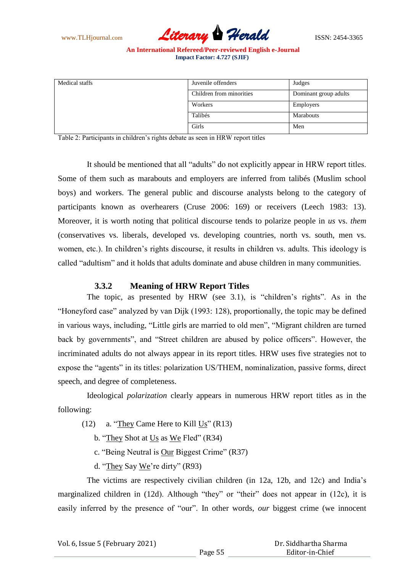www.TLHjournal.com *Literary Herald*ISSN: 2454-3365

| Medical staffs | Juvenile offenders       | Judges                |
|----------------|--------------------------|-----------------------|
|                | Children from minorities | Dominant group adults |
|                | Workers                  | <b>Employers</b>      |
|                | Talibés                  | Marabouts             |
|                | Girls                    | Men                   |

Table 2: Participants in children"s rights debate as seen in HRW report titles

It should be mentioned that all "adults" do not explicitly appear in HRW report titles. Some of them such as marabouts and employers are inferred from talibés (Muslim school boys) and workers. The general public and discourse analysts belong to the category of participants known as overhearers (Cruse 2006: 169) or receivers (Leech 1983: 13). Moreover, it is worth noting that political discourse tends to polarize people in *us* vs. *them* (conservatives vs. liberals, developed vs. developing countries, north vs. south, men vs. women, etc.). In children"s rights discourse, it results in children vs. adults. This ideology is called "adultism" and it holds that adults dominate and abuse children in many communities.

### **3.3.2 Meaning of HRW Report Titles**

The topic, as presented by HRW (see 3.1), is "children"s rights". As in the "Honeyford case" analyzed by van Dijk (1993: 128), proportionally, the topic may be defined in various ways, including, "Little girls are married to old men", "Migrant children are turned back by governments", and "Street children are abused by police officers". However, the incriminated adults do not always appear in its report titles. HRW uses five strategies not to expose the "agents" in its titles: polarization US/THEM, nominalization, passive forms, direct speech, and degree of completeness.

Ideological *polarization* clearly appears in numerous HRW report titles as in the following:

(12) a. "They Came Here to Kill Us" (R13)

- b. "They Shot at Us as We Fled" (R34)
- c. "Being Neutral is Our Biggest Crime" (R37)
- d. "They Say We"re dirty" (R93)

The victims are respectively civilian children (in 12a, 12b, and 12c) and India"s marginalized children in (12d). Although "they" or "their" does not appear in (12c), it is easily inferred by the presence of "our". In other words, *our* biggest crime (we innocent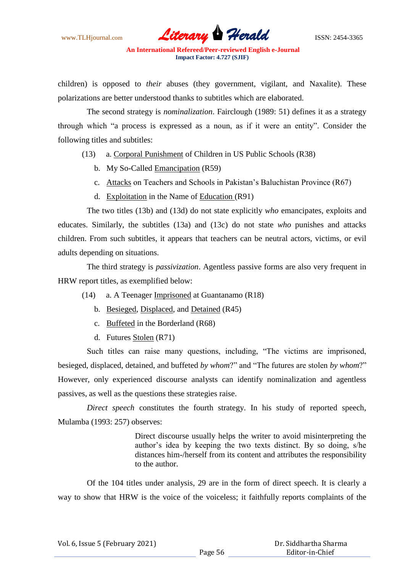www.TLHjournal.com *Literary Herald*ISSN: 2454-3365

children) is opposed to *their* abuses (they government, vigilant, and Naxalite). These polarizations are better understood thanks to subtitles which are elaborated.

The second strategy is *nominalization*. Fairclough (1989: 51) defines it as a strategy through which "a process is expressed as a noun, as if it were an entity". Consider the following titles and subtitles:

- (13) a. Corporal Punishment of Children in US Public Schools (R38)
	- b. My So-Called Emancipation (R59)
	- c. Attacks on Teachers and Schools in Pakistan"s Baluchistan Province (R67)
	- d. Exploitation in the Name of Education (R91)

The two titles (13b) and (13d) do not state explicitly *who* emancipates, exploits and educates. Similarly, the subtitles (13a) and (13c) do not state *who* punishes and attacks children. From such subtitles, it appears that teachers can be neutral actors, victims, or evil adults depending on situations.

The third strategy is *passivization*. Agentless passive forms are also very frequent in HRW report titles, as exemplified below:

- (14) a. A Teenager Imprisoned at Guantanamo (R18)
	- b. Besieged, Displaced, and Detained (R45)
	- c. Buffeted in the Borderland (R68)
	- d. Futures Stolen (R71)

Such titles can raise many questions, including, "The victims are imprisoned, besieged, displaced, detained, and buffeted *by whom*?" and "The futures are stolen *by whom*?" However, only experienced discourse analysts can identify nominalization and agentless passives, as well as the questions these strategies raise.

*Direct speech* constitutes the fourth strategy. In his study of reported speech, Mulamba (1993: 257) observes:

> Direct discourse usually helps the writer to avoid misinterpreting the author"s idea by keeping the two texts distinct. By so doing, s/he distances him-/herself from its content and attributes the responsibility to the author.

Of the 104 titles under analysis, 29 are in the form of direct speech. It is clearly a way to show that HRW is the voice of the voiceless; it faithfully reports complaints of the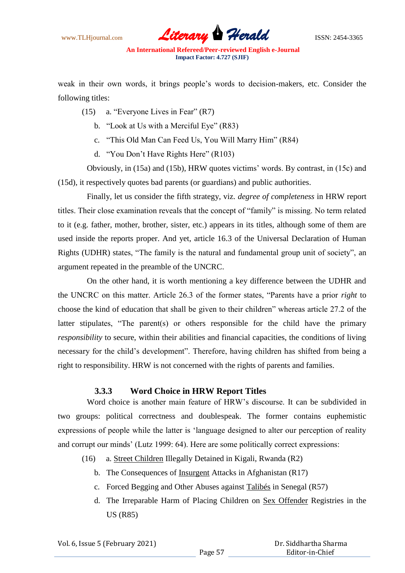www.TLHjournal.com **Literary Herald Herald** ISSN: 2454-3365

weak in their own words, it brings people"s words to decision-makers, etc. Consider the following titles:

- (15) a. "Everyone Lives in Fear" (R7)
	- b. "Look at Us with a Merciful Eye" (R83)
	- c. "This Old Man Can Feed Us, You Will Marry Him" (R84)
	- d. "You Don"t Have Rights Here" (R103)

Obviously, in (15a) and (15b), HRW quotes victims" words. By contrast, in (15c) and (15d), it respectively quotes bad parents (or guardians) and public authorities.

Finally, let us consider the fifth strategy, viz. *degree of completeness* in HRW report titles. Their close examination reveals that the concept of "family" is missing. No term related to it (e.g. father, mother, brother, sister, etc.) appears in its titles, although some of them are used inside the reports proper. And yet, article 16.3 of the Universal Declaration of Human Rights (UDHR) states, "The family is the natural and fundamental group unit of society", an argument repeated in the preamble of the UNCRC.

On the other hand, it is worth mentioning a key difference between the UDHR and the UNCRC on this matter. Article 26.3 of the former states, "Parents have a prior *right* to choose the kind of education that shall be given to their children" whereas article 27.2 of the latter stipulates, "The parent(s) or others responsible for the child have the primary *responsibility* to secure, within their abilities and financial capacities, the conditions of living necessary for the child"s development". Therefore, having children has shifted from being a right to responsibility. HRW is not concerned with the rights of parents and families.

### **3.3.3 Word Choice in HRW Report Titles**

Word choice is another main feature of HRW's discourse. It can be subdivided in two groups: political correctness and doublespeak. The former contains euphemistic expressions of people while the latter is "language designed to alter our perception of reality and corrupt our minds' (Lutz 1999: 64). Here are some politically correct expressions:

- (16) a. Street Children Illegally Detained in Kigali, Rwanda (R2)
	- b. The Consequences of Insurgent Attacks in Afghanistan (R17)
	- c. Forced Begging and Other Abuses against Talibés in Senegal (R57)
	- d. The Irreparable Harm of Placing Children on Sex Offender Registries in the US (R85)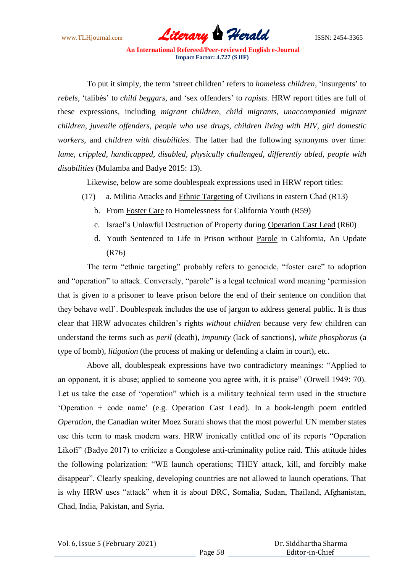www.TLHjournal.com *Literary Herald*ISSN: 2454-3365

To put it simply, the term "street children" refers to *homeless children*, "insurgents" to *rebels*, "talibés" to *child beggars*, and "sex offenders" to *rapists*. HRW report titles are full of these expressions, including *migrant children*, *child migrants*, *unaccompanied migrant children*, *juvenile offenders*, *people who use drugs*, *children living with HIV*, *girl domestic workers*, and *children with disabilities*. The latter had the following synonyms over time: *lame*, *crippled*, *handicapped*, *disabled*, *physically challenged*, *differently abled*, *people with disabilities* (Mulamba and Badye 2015: 13).

Likewise, below are some doublespeak expressions used in HRW report titles:

- (17) a. Militia Attacks and Ethnic Targeting of Civilians in eastern Chad (R13)
	- b. From Foster Care to Homelessness for California Youth (R59)
	- c. Israel"s Unlawful Destruction of Property during Operation Cast Lead (R60)
	- d. Youth Sentenced to Life in Prison without Parole in California, An Update (R76)

The term "ethnic targeting" probably refers to genocide, "foster care" to adoption and "operation" to attack. Conversely, "parole" is a legal technical word meaning "permission that is given to a prisoner to leave prison before the end of their sentence on condition that they behave well". Doublespeak includes the use of jargon to address general public. It is thus clear that HRW advocates children"s rights *without children* because very few children can understand the terms such as *peril* (death), *impunity* (lack of sanctions), *white phosphorus* (a type of bomb), *litigation* (the process of making or defending a claim in court), etc.

Above all, doublespeak expressions have two contradictory meanings: "Applied to an opponent, it is abuse; applied to someone you agree with, it is praise" (Orwell 1949: 70). Let us take the case of "operation" which is a military technical term used in the structure "Operation + code name" (e.g. Operation Cast Lead). In a book-length poem entitled *Operation*, the Canadian writer Moez Surani shows that the most powerful UN member states use this term to mask modern wars. HRW ironically entitled one of its reports "Operation Likofi" (Badye 2017) to criticize a Congolese anti-criminality police raid. This attitude hides the following polarization: "WE launch operations; THEY attack, kill, and forcibly make disappear". Clearly speaking, developing countries are not allowed to launch operations. That is why HRW uses "attack" when it is about DRC, Somalia, Sudan, Thailand, Afghanistan, Chad, India, Pakistan, and Syria.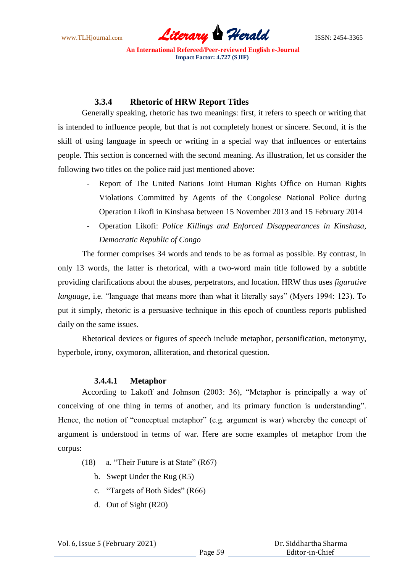www.TLHjournal.com *Literary Herald*ISSN: 2454-3365

## **3.3.4 Rhetoric of HRW Report Titles**

Generally speaking, rhetoric has two meanings: first, it refers to speech or writing that is intended to influence people, but that is not completely honest or sincere. Second, it is the skill of using language in speech or writing in a special way that influences or entertains people. This section is concerned with the second meaning. As illustration, let us consider the following two titles on the police raid just mentioned above:

- Report of The United Nations Joint Human Rights Office on Human Rights Violations Committed by Agents of the Congolese National Police during Operation Likofi in Kinshasa between 15 November 2013 and 15 February 2014
- Operation Likofi: *Police Killings and Enforced Disappearances in Kinshasa, Democratic Republic of Congo*

The former comprises 34 words and tends to be as formal as possible. By contrast, in only 13 words, the latter is rhetorical, with a two-word main title followed by a subtitle providing clarifications about the abuses, perpetrators, and location. HRW thus uses *figurative language*, i.e. "language that means more than what it literally says" (Myers 1994: 123). To put it simply, rhetoric is a persuasive technique in this epoch of countless reports published daily on the same issues.

Rhetorical devices or figures of speech include metaphor, personification, metonymy, hyperbole, irony, oxymoron, alliteration, and rhetorical question.

### **3.4.4.1 Metaphor**

According to Lakoff and Johnson (2003: 36), "Metaphor is principally a way of conceiving of one thing in terms of another, and its primary function is understanding". Hence, the notion of "conceptual metaphor" (e.g. argument is war) whereby the concept of argument is understood in terms of war. Here are some examples of metaphor from the corpus:

- (18) a. "Their Future is at State" (R67)
	- b. Swept Under the Rug (R5)
	- c. "Targets of Both Sides" (R66)
	- d. Out of Sight (R20)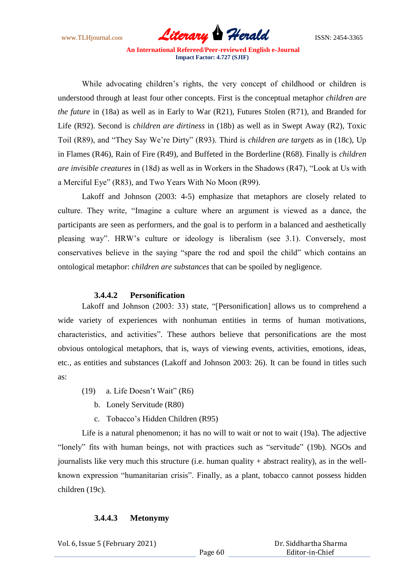www.TLHjournal.com *Literary Herald*ISSN: 2454-3365

While advocating children"s rights, the very concept of childhood or children is understood through at least four other concepts. First is the conceptual metaphor *children are the future* in (18a) as well as in Early to War (R21), Futures Stolen (R71), and Branded for Life (R92). Second is *children are dirtiness* in (18b) as well as in Swept Away (R2), Toxic Toil (R89), and "They Say We"re Dirty" (R93). Third is *children are targets* as in (18c), Up in Flames (R46), Rain of Fire (R49), and Buffeted in the Borderline (R68). Finally is *children are invisible creatures* in (18d) as well as in Workers in the Shadows (R47), "Look at Us with a Merciful Eye" (R83), and Two Years With No Moon (R99).

Lakoff and Johnson (2003: 4-5) emphasize that metaphors are closely related to culture. They write, "Imagine a culture where an argument is viewed as a dance, the participants are seen as performers, and the goal is to perform in a balanced and aesthetically pleasing way". HRW"s culture or ideology is liberalism (see 3.1). Conversely, most conservatives believe in the saying "spare the rod and spoil the child" which contains an ontological metaphor: *children are substances* that can be spoiled by negligence.

### **3.4.4.2 Personification**

Lakoff and Johnson (2003: 33) state, "[Personification] allows us to comprehend a wide variety of experiences with nonhuman entities in terms of human motivations, characteristics, and activities". These authors believe that personifications are the most obvious ontological metaphors, that is, ways of viewing events, activities, emotions, ideas, etc., as entities and substances (Lakoff and Johnson 2003: 26). It can be found in titles such as:

- (19) a. Life Doesn"t Wait" (R6)
	- b. Lonely Servitude (R80)
	- c. Tobacco"s Hidden Children (R95)

Life is a natural phenomenon; it has no will to wait or not to wait (19a). The adjective "lonely" fits with human beings, not with practices such as "servitude" (19b). NGOs and journalists like very much this structure (i.e. human quality + abstract reality), as in the wellknown expression "humanitarian crisis". Finally, as a plant, tobacco cannot possess hidden children (19c).

### **3.4.4.3 Metonymy**

Vol. 6, Issue 5 (February 2021)

 Dr. Siddhartha Sharma Editor-in-Chief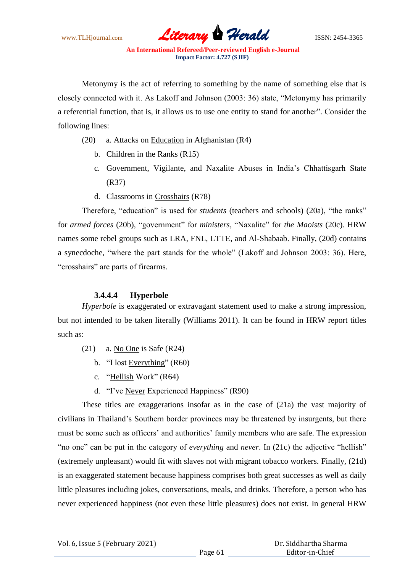www.TLHjournal.com *Literary Herald*ISSN: 2454-3365

Metonymy is the act of referring to something by the name of something else that is closely connected with it. As Lakoff and Johnson (2003: 36) state, "Metonymy has primarily a referential function, that is, it allows us to use one entity to stand for another". Consider the following lines:

- (20) a. Attacks on Education in Afghanistan (R4)
	- b. Children in the Ranks (R15)
	- c. Government, Vigilante, and Naxalite Abuses in India's Chhattisgarh State (R37)
	- d. Classrooms in Crosshairs (R78)

Therefore, "education" is used for *students* (teachers and schools) (20a), "the ranks" for *armed forces* (20b), "government" for *ministers*, "Naxalite" for *the Maoists* (20c). HRW names some rebel groups such as LRA, FNL, LTTE, and Al-Shabaab. Finally, (20d) contains a synecdoche, "where the part stands for the whole" (Lakoff and Johnson 2003: 36). Here, "crosshairs" are parts of firearms.

## **3.4.4.4 Hyperbole**

*Hyperbole* is exaggerated or extravagant statement used to make a strong impression, but not intended to be taken literally (Williams 2011). It can be found in HRW report titles such as:

- (21) a. No One is Safe (R24)
	- b. "I lost Everything" (R60)
	- c. "Hellish Work" (R64)
	- d. "I"ve Never Experienced Happiness" (R90)

These titles are exaggerations insofar as in the case of (21a) the vast majority of civilians in Thailand"s Southern border provinces may be threatened by insurgents, but there must be some such as officers' and authorities' family members who are safe. The expression "no one" can be put in the category of *everything* and *never*. In (21c) the adjective "hellish" (extremely unpleasant) would fit with slaves not with migrant tobacco workers. Finally, (21d) is an exaggerated statement because happiness comprises both great successes as well as daily little pleasures including jokes, conversations, meals, and drinks. Therefore, a person who has never experienced happiness (not even these little pleasures) does not exist. In general HRW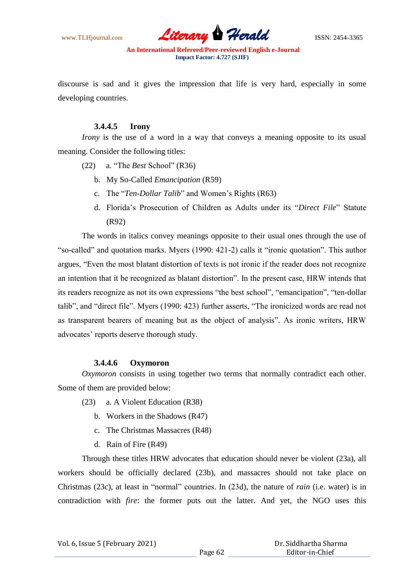www.TLHjournal.com *Literary Herald*ISSN: 2454-3365

discourse is sad and it gives the impression that life is very hard, especially in some developing countries.

### **3.4.4.5 Irony**

*Irony* is the use of a word in a way that conveys a meaning opposite to its usual meaning. Consider the following titles:

- (22) a. "The *Best* School" (R36)
	- b. My So-Called *Emancipation* (R59)
	- c. The "*Ten-Dollar Talib*" and Women"s Rights (R63)
	- d. Florida"s Prosecution of Children as Adults under its "*Direct File*" Statute (R92)

The words in italics convey meanings opposite to their usual ones through the use of "so-called" and quotation marks. Myers (1990: 421-2) calls it "ironic quotation". This author argues, "Even the most blatant distortion of texts is not ironic if the reader does not recognize an intention that it be recognized as blatant distortion". In the present case, HRW intends that its readers recognize as not its own expressions "the best school", "emancipation", "ten-dollar talib", and "direct file". Myers (1990: 423) further asserts, "The ironicized words are read not as transparent bearers of meaning but as the object of analysis". As ironic writers, HRW advocates' reports deserve thorough study.

### **3.4.4.6 Oxymoron**

*Oxymoron* consists in using together two terms that normally contradict each other. Some of them are provided below:

- (23) a. A Violent Education (R38)
	- b. Workers in the Shadows (R47)
	- c. The Christmas Massacres (R48)
	- d. Rain of Fire (R49)

Through these titles HRW advocates that education should never be violent (23a), all workers should be officially declared (23b), and massacres should not take place on Christmas (23c), at least in "normal" countries. In (23d), the nature of *rain* (i.e. water) is in contradiction with *fire*: the former puts out the latter. And yet, the NGO uses this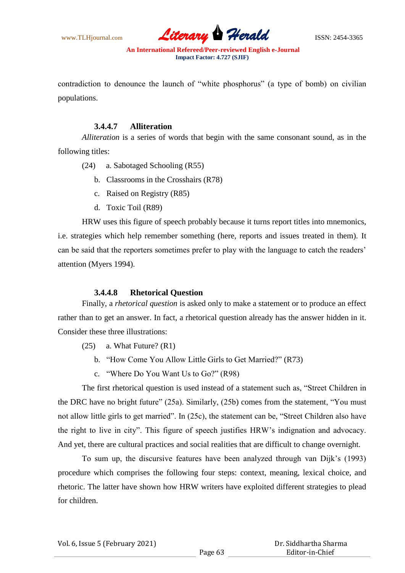www.TLHjournal.com **Literary Herald Herald** ISSN: 2454-3365

contradiction to denounce the launch of "white phosphorus" (a type of bomb) on civilian populations.

### **3.4.4.7 Alliteration**

*Alliteration* is a series of words that begin with the same consonant sound, as in the following titles:

(24) a. Sabotaged Schooling (R55)

- b. Classrooms in the Crosshairs (R78)
- c. Raised on Registry (R85)
- d. Toxic Toil (R89)

HRW uses this figure of speech probably because it turns report titles into mnemonics, i.e. strategies which help remember something (here, reports and issues treated in them). It can be said that the reporters sometimes prefer to play with the language to catch the readers" attention (Myers 1994).

### **3.4.4.8 Rhetorical Question**

Finally, a *rhetorical question* is asked only to make a statement or to produce an effect rather than to get an answer. In fact, a rhetorical question already has the answer hidden in it. Consider these three illustrations:

- $(25)$  a. What Future?  $(R1)$ 
	- b. "How Come You Allow Little Girls to Get Married?" (R73)
	- c. "Where Do You Want Us to Go?" (R98)

The first rhetorical question is used instead of a statement such as, "Street Children in the DRC have no bright future" (25a). Similarly, (25b) comes from the statement, "You must not allow little girls to get married". In (25c), the statement can be, "Street Children also have the right to live in city". This figure of speech justifies HRW"s indignation and advocacy. And yet, there are cultural practices and social realities that are difficult to change overnight.

To sum up, the discursive features have been analyzed through van Dijk"s (1993) procedure which comprises the following four steps: context, meaning, lexical choice, and rhetoric. The latter have shown how HRW writers have exploited different strategies to plead for children.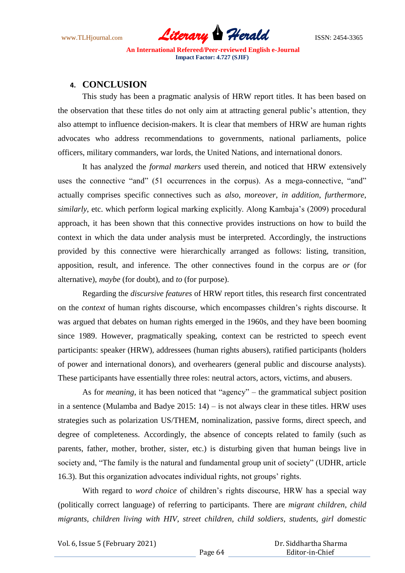

## **4. CONCLUSION**

This study has been a pragmatic analysis of HRW report titles. It has been based on the observation that these titles do not only aim at attracting general public"s attention, they also attempt to influence decision-makers. It is clear that members of HRW are human rights advocates who address recommendations to governments, national parliaments, police officers, military commanders, war lords, the United Nations, and international donors.

It has analyzed the *formal markers* used therein, and noticed that HRW extensively uses the connective "and" (51 occurrences in the corpus). As a mega-connective, "and" actually comprises specific connectives such as *also*, *moreover*, *in addition*, *furthermore*, *similarly*, etc. which perform logical marking explicitly. Along Kambaja"s (2009) procedural approach, it has been shown that this connective provides instructions on how to build the context in which the data under analysis must be interpreted. Accordingly, the instructions provided by this connective were hierarchically arranged as follows: listing, transition, apposition, result, and inference. The other connectives found in the corpus are *or* (for alternative), *maybe* (for doubt), and *to* (for purpose).

Regarding the *discursive features* of HRW report titles, this research first concentrated on the *context* of human rights discourse, which encompasses children"s rights discourse. It was argued that debates on human rights emerged in the 1960s, and they have been booming since 1989. However, pragmatically speaking, context can be restricted to speech event participants: speaker (HRW), addressees (human rights abusers), ratified participants (holders of power and international donors), and overhearers (general public and discourse analysts). These participants have essentially three roles: neutral actors, actors, victims, and abusers.

As for *meaning*, it has been noticed that "agency" – the grammatical subject position in a sentence (Mulamba and Badye  $2015: 14$ ) – is not always clear in these titles. HRW uses strategies such as polarization US/THEM, nominalization, passive forms, direct speech, and degree of completeness. Accordingly, the absence of concepts related to family (such as parents, father, mother, brother, sister, etc.) is disturbing given that human beings live in society and, "The family is the natural and fundamental group unit of society" (UDHR, article 16.3). But this organization advocates individual rights, not groups" rights.

With regard to *word choice* of children's rights discourse, HRW has a special way (politically correct language) of referring to participants. There are *migrant children*, *child migrants*, *children living with HIV*, *street children*, *child soldiers*, *students*, *girl domestic* 

Vol. 6, Issue 5 (February 2021)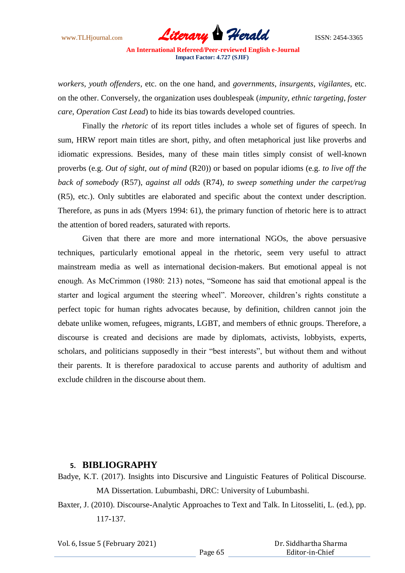www.TLHjournal.com **Literary Herald Herald** ISSN: 2454-3365

*workers*, *youth offenders*, etc. on the one hand, and *governments*, *insurgents*, *vigilantes*, etc. on the other. Conversely, the organization uses doublespeak (*impunity*, *ethnic targeting*, *foster care*, *Operation Cast Lead*) to hide its bias towards developed countries.

Finally the *rhetoric* of its report titles includes a whole set of figures of speech. In sum, HRW report main titles are short, pithy, and often metaphorical just like proverbs and idiomatic expressions. Besides, many of these main titles simply consist of well-known proverbs (e.g. *Out of sight, out of mind* (R20)) or based on popular idioms (e.g. *to live off the back of somebody* (R57), *against all odds* (R74), *to sweep something under the carpet/rug* (R5), etc.). Only subtitles are elaborated and specific about the context under description. Therefore, as puns in ads (Myers 1994: 61), the primary function of rhetoric here is to attract the attention of bored readers, saturated with reports.

Given that there are more and more international NGOs, the above persuasive techniques, particularly emotional appeal in the rhetoric, seem very useful to attract mainstream media as well as international decision-makers. But emotional appeal is not enough. As McCrimmon (1980: 213) notes, "Someone has said that emotional appeal is the starter and logical argument the steering wheel". Moreover, children"s rights constitute a perfect topic for human rights advocates because, by definition, children cannot join the debate unlike women, refugees, migrants, LGBT, and members of ethnic groups. Therefore, a discourse is created and decisions are made by diplomats, activists, lobbyists, experts, scholars, and politicians supposedly in their "best interests", but without them and without their parents. It is therefore paradoxical to accuse parents and authority of adultism and exclude children in the discourse about them.

## **5. BIBLIOGRAPHY**

- Badye, K.T. (2017). Insights into Discursive and Linguistic Features of Political Discourse. MA Dissertation. Lubumbashi, DRC: University of Lubumbashi.
- Baxter, J. (2010). Discourse-Analytic Approaches to Text and Talk. In Litosseliti, L. (ed.), pp. 117-137.

Vol. 6, Issue 5 (February 2021)

 Dr. Siddhartha Sharma Editor-in-Chief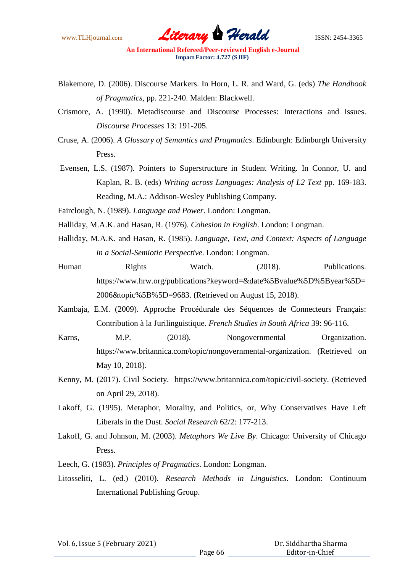www.TLHjournal.com **Literary Herald Herald** ISSN: 2454-3365

- Blakemore, D. (2006). Discourse Markers. In Horn, L. R. and Ward, G. (eds) *The Handbook of Pragmatics*, pp. 221-240. Malden: Blackwell.
- Crismore, A. (1990). Metadiscourse and Discourse Processes: Interactions and Issues. *Discourse Processes* 13: 191-205.
- Cruse, A. (2006). *A Glossary of Semantics and Pragmatics*. Edinburgh: Edinburgh University Press.
- Evensen, L.S. (1987). Pointers to Superstructure in Student Writing. In Connor, U. and Kaplan, R. B. (eds) *Writing across Languages: Analysis of L2 Text* pp. 169-183. Reading, M.A.: Addison-Wesley Publishing Company.
- Fairclough, N. (1989). *Language and Power*. London: Longman.
- Halliday, M.A.K. and Hasan, R. (1976). *Cohesion in English*. London: Longman.
- Halliday, M.A.K. and Hasan, R. (1985). *Language, Text, and Context: Aspects of Language in a Social-Semiotic Perspective*. London: Longman.
- Human Rights Watch. (2018). Publications. https://www.hrw.org/publications?keyword=&date%5Bvalue%5D%5Byear%5D= 2006&topic%5B%5D=9683. (Retrieved on August 15, 2018).
- Kambaja, E.M. (2009). Approche Procédurale des Séquences de Connecteurs Français: Contribution à la Jurilinguistique. *French Studies in South Africa* 39: 96-116.
- Karns, M.P. (2018). Nongovernmental Organization. https://www.britannica.com/topic/nongovernmental-organization. (Retrieved on May 10, 2018).
- Kenny, M. (2017). Civil Society. https://www.britannica.com/topic/civil-society. (Retrieved on April 29, 2018).
- Lakoff, G. (1995). Metaphor, Morality, and Politics, or, Why Conservatives Have Left Liberals in the Dust. *Social Research* 62/2: 177-213.
- Lakoff, G. and Johnson, M. (2003). *Metaphors We Live By*. Chicago: University of Chicago Press.
- Leech, G. (1983). *Principles of Pragmatics*. London: Longman.
- Litosseliti, L. (ed.) (2010). *Research Methods in Linguistics*. London: Continuum International Publishing Group.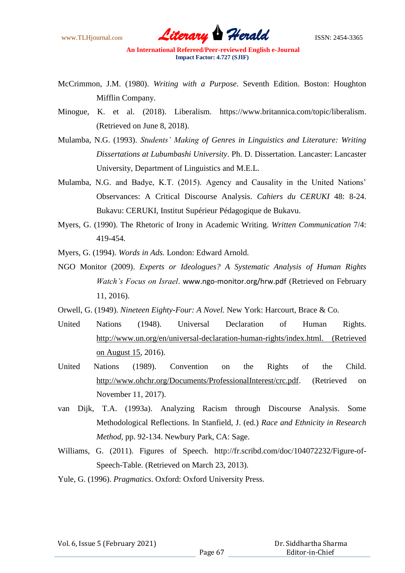www.TLHjournal.com *Literary Herald*ISSN: 2454-3365

- McCrimmon, J.M. (1980). *Writing with a Purpose*. Seventh Edition. Boston: Houghton Mifflin Company.
- Minogue, K. et al. (2018). Liberalism. https://www.britannica.com/topic/liberalism. (Retrieved on June 8, 2018).
- Mulamba, N.G. (1993). *Students' Making of Genres in Linguistics and Literature: Writing Dissertations at Lubumbashi University*. Ph. D. Dissertation. Lancaster: Lancaster University, Department of Linguistics and M.E.L.
- Mulamba, N.G. and Badye, K.T. (2015). Agency and Causality in the United Nations" Observances: A Critical Discourse Analysis. *Cahiers du CERUKI* 48: 8-24. Bukavu: CERUKI, Institut Supérieur Pédagogique de Bukavu.
- Myers, G. (1990). The Rhetoric of Irony in Academic Writing. *Written Communication* 7/4: 419-454.
- Myers, G. (1994). *Words in Ads.* London: Edward Arnold.
- NGO Monitor (2009). *Experts or Ideologues? A Systematic Analysis of Human Rights Watch's Focus on Israel*. www.ngo-monitor.org/hrw.pdf (Retrieved on February 11, 2016).
- Orwell, G. (1949). *Nineteen Eighty-Four: A Novel.* New York: Harcourt, Brace & Co.
- United Nations (1948). Universal Declaration of Human Rights. http://www.un.org/en/universal-declaration-human-rights/index.html. (Retrieved on August 15, 2016).
- United Nations (1989). Convention on the Rights of the Child. http://www.ohchr.org/Documents/ProfessionalInterest/crc.pdf. (Retrieved on November 11, 2017).
- van Dijk, T.A. (1993a). Analyzing Racism through Discourse Analysis. Some Methodological Reflections. In Stanfield, J. (ed.) *Race and Ethnicity in Research Method*, pp. 92-134. Newbury Park, CA: Sage.
- Williams, G. (2011). Figures of Speech. http://fr.scribd.com/doc/104072232/Figure-of-Speech-Table. (Retrieved on March 23, 2013).
- Yule, G. (1996). *Pragmatics*. Oxford: Oxford University Press.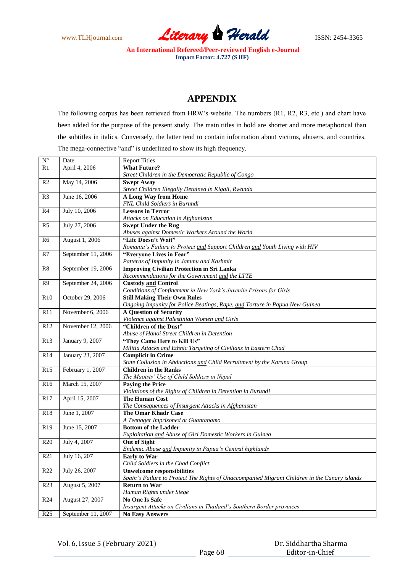www.TLHjournal.com **Literary Herald** ISSN: 2454-3365

# **APPENDIX**

The following corpus has been retrieved from HRW"s website. The numbers (R1, R2, R3, etc.) and chart have been added for the purpose of the present study. The main titles in bold are shorter and more metaphorical than the subtitles in italics. Conversely, the latter tend to contain information about victims, abusers, and countries. The mega-connective "and" is underlined to show its high frequency.

| $N^{\circ}$     | Date               | <b>Report Titles</b>                                                                          |
|-----------------|--------------------|-----------------------------------------------------------------------------------------------|
| R1              | April 4, 2006      | <b>What Future?</b>                                                                           |
|                 |                    | Street Children in the Democratic Republic of Congo                                           |
| R <sub>2</sub>  | May 14, 2006       | <b>Swept Away</b>                                                                             |
|                 |                    | Street Children Illegally Detained in Kigali, Rwanda                                          |
| R <sub>3</sub>  | June 16, 2006      | A Long Way from Home                                                                          |
|                 |                    | FNL Child Soldiers in Burundi                                                                 |
| R <sub>4</sub>  | July 10, 2006      | <b>Lessons in Terror</b>                                                                      |
|                 |                    | Attacks on Education in Afghanistan                                                           |
| R <sub>5</sub>  | July 27, 2006      | <b>Swept Under the Rug</b>                                                                    |
|                 |                    | Abuses against Domestic Workers Around the World                                              |
| R <sub>6</sub>  | August 1, 2006     | "Life Doesn't Wait"                                                                           |
|                 |                    | Romania's Failure to Protect and Support Children and Youth Living with HIV                   |
| R7              | September 11, 2006 | "Everyone Lives in Fear"                                                                      |
|                 |                    | Patterns of Impunity in Jammu and Kashmir                                                     |
| R <sub>8</sub>  | September 19, 2006 | <b>Improving Civilian Protection in Sri Lanka</b>                                             |
|                 |                    | Recommendations for the Government and the LTTE                                               |
| R <sub>9</sub>  | September 24, 2006 | <b>Custody and Control</b>                                                                    |
|                 |                    | Conditions of Confinement in New York's Juvenile Prisons for Girls                            |
| R10             | October 29, 2006   | <b>Still Making Their Own Rules</b>                                                           |
|                 |                    | Ongoing Impunity for Police Beatings, Rape, and Torture in Papua New Guinea                   |
| R11             | November 6, 2006   | <b>A Question of Security</b>                                                                 |
|                 |                    | Violence against Palestinian Women and Girls                                                  |
| R12             | November 12, 2006  | "Children of the Dust"                                                                        |
|                 |                    | Abuse of Hanoi Street Children in Detention                                                   |
| R13             | January 9, 2007    | "They Came Here to Kill Us"                                                                   |
|                 |                    | Militia Attacks and Ethnic Targeting of Civilians in Eastern Chad                             |
| R14             | January 23, 2007   | <b>Complicit in Crime</b>                                                                     |
|                 |                    | State Collusion in Abductions and Child Recruitment by the Karuna Group                       |
| R15             | February 1, 2007   | <b>Children in the Ranks</b>                                                                  |
|                 |                    | The Maoists' Use of Child Soldiers in Nepal                                                   |
| R <sub>16</sub> | March 15, 2007     | <b>Paying the Price</b>                                                                       |
|                 |                    | Violations of the Rights of Children in Detention in Burundi                                  |
| R17             | April 15, 2007     | <b>The Human Cost</b>                                                                         |
|                 |                    | The Consequences of Insurgent Attacks in Afghanistan                                          |
| <b>R18</b>      | June 1, 2007       | <b>The Omar Khadr Case</b>                                                                    |
|                 |                    | A Teenager Imprisoned at Guantanamo                                                           |
| R <sub>19</sub> | June 15, 2007      | <b>Bottom of the Ladder</b>                                                                   |
|                 |                    | Exploitation and Abuse of Girl Domestic Workers in Guinea                                     |
| R <sub>20</sub> | July 4, 2007       | Out of Sight                                                                                  |
|                 |                    | Endemic Abuse and Impunity in Papua's Central highlands                                       |
| R21             | July 16, 207       | <b>Early to War</b>                                                                           |
|                 |                    | Child Soldiers in the Chad Conflict                                                           |
| R <sub>22</sub> | July 26, 2007      | <b>Unwelcome responsibilities</b>                                                             |
|                 |                    | Spain's Failure to Protect The Rights of Unaccompanied Migrant Children in the Canary islands |
| R <sub>23</sub> | August 5, 2007     | <b>Return to War</b>                                                                          |
|                 |                    | Human Rights under Siege                                                                      |
| R24             | August 27, 2007    | <b>No One Is Safe</b>                                                                         |
|                 |                    | Insurgent Attacks on Civilians in Thailand's Southern Border provinces                        |
| R25             | September 11, 2007 | <b>No Easy Answers</b>                                                                        |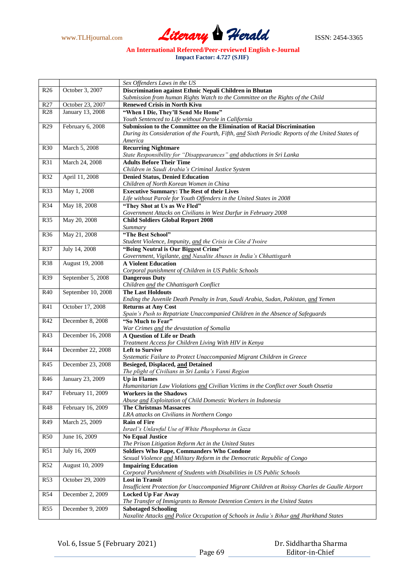www.TLHjournal.com *Literary Herald*ISSN: 2454-3365

*Sex Offenders Laws in the US* R26 October 3, 2007 **Discrimination against Ethnic Nepali Children in Bhutan** *Submission from human Rights Watch to the Committee on the Rights of the Child* R27 Cotober 23, 2007 **Renewed Crisis in North Kivu** R28 January 13, 2008 **"When I Die, They"ll Send Me Home"** *Youth Sentenced to Life without Parole in California* R29 February 6, 2008 **Submission to the Committee on the Elimination of Racial Discrimination** *During its Consideration of the Fourth, Fifth, and Sixth Periodic Reports of the United States of America* R30 March 5, 2008 **Recurring Nightmare** *State Responsibility for "Disappearances" and abductions in Sri Lanka* R31 March 24, 2008 **Adults Before Their Time** *Children in Saudi Arabia's Criminal Justice System* R32 April 11, 2008 **Denied Status, Denied Education** *Children of North Korean Women in China* R33 May 1, 2008 **Executive Summary: The Rest of their Lives** *Life without Parole for Youth Offenders in the United States in 2008* R34 May 18, 2008 **"They Shot at Us as We Fled"** *Government Attacks on Civilians in West Darfur in February 2008* R35 May 20, 2008 **Child Soldiers Global Report 2008** *Summary* R36 May 21, 2008 **"The Best School"** *Student Violence, Impunity, and the Crisis in Côte d'Ivoire* R37 July 14, 2008 **"Being Neutral is Our Biggest Crime"** *Government, Vigilante, and Naxalite Abuses in India's Chhattisgarh*  R38 August 19, 2008 **A Violent Education** *Corporal punishment of Children in US Public Schools* R39 September 5, 2008 **Dangerous Duty** *Children and the Chhattisgarh Conflict* R40 September 10, 2008 **The Last Holdouts** *Ending the Juvenile Death Penalty in Iran, Saudi Arabia, Sudan, Pakistan, and Yemen* R41 October 17, 2008 **Returns at Any Cost** *Spain's Push to Repatriate Unaccompanied Children in the Absence of Safeguards* R42 December 8, 2008 **"So Much to Fear"** *War Crimes and the devastation of Somalia* R43 December 16, 2008 **A Question of Life or Death** *Treatment Access for Children Living With HIV in Kenya* R44 December 22, 2008 **Left to Survive** *Systematic Failure to Protect Unaccompanied Migrant Children in Greece* R45 December 23, 2008 **Besieged, Displaced, and Detained** *The plight of Civilians in Sri Lanka's Vanni Region* R46 January 23, 2009 **Up in Flames** *Humanitarian Law Violations and Civilian Victims in the Conflict over South Ossetia* R47 February 11, 2009 **Workers in the Shadows** *Abuse and Exploitation of Child Domestic Workers in Indonesia* R48 February 16, 2009 **The Christmas Massacres** *LRA attacks on Civilians in Northern Congo* R49 March 25, 2009 **Rain of Fire** *Israel's Unlawful Use of White Phosphorus in Gaza* R50 June 16, 2009 **No Equal Justice** *The Prison Litigation Reform Act in the United States* R51 July 16, 2009 **Soldiers Who Rape, Commanders Who Condone** *Sexual Violence and Military Reform in the Democratic Republic of Congo* R52 August 10, 2009 **Impairing Education** *Corporal Punishment of Students with Disabilities in US Public Schools* R53 October 29, 2009 **Lost in Transit** *Insufficient Protection for Unaccompanied Migrant Children at Roissy Charles de Gaulle Airport* R54 December 2, 2009 **Locked Up Far Away** *The Transfer of Immigrants to Remote Detention Centers in the United States* R55 December 9, 2009 **Sabotaged Schooling** *Naxalite Attacks and Police Occupation of Schools in India's Bihar and Jharkhand States*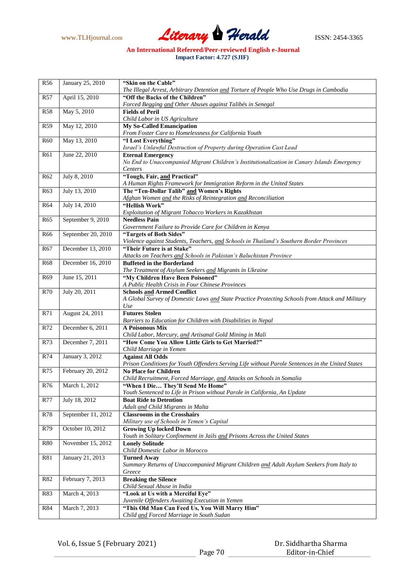

| R <sub>56</sub> | January 25, 2010   | "Skin on the Cable"                                                                                                              |
|-----------------|--------------------|----------------------------------------------------------------------------------------------------------------------------------|
|                 |                    | The Illegal Arrest, Arbitrary Detention and Torture of People Who Use Drugs in Cambodia                                          |
| R <sub>57</sub> | April 15, 2010     | "Off the Backs of the Children"                                                                                                  |
|                 |                    | Forced Begging and Other Abuses against Talibés in Senegal                                                                       |
| <b>R58</b>      | May 5, 2010        | <b>Fields of Peril</b>                                                                                                           |
|                 |                    | Child Labor in US Agriculture                                                                                                    |
| R <sub>59</sub> | May 12, 2010       | <b>My So-Called Emancipation</b>                                                                                                 |
|                 |                    | From Foster Care to Homelessness for California Youth                                                                            |
| <b>R60</b>      | May 13, 2010       | "I Lost Everything"                                                                                                              |
|                 |                    | Israel's Unlawful Destruction of Property during Operation Cast Lead                                                             |
| R61             | June 22, 2010      | <b>Eternal Emergency</b>                                                                                                         |
|                 |                    | No End to Unaccompanied Migrant Children's Institutionalization in Canary Islands Emergency                                      |
|                 |                    | Centers                                                                                                                          |
| R <sub>62</sub> | July 8, 2010       | "Tough, Fair, and Practical"                                                                                                     |
|                 | July 13, 2010      | A Human Rights Framework for Immigration Reform in the United States                                                             |
| R63             |                    | The "Ten-Dollar Talib" and Women's Rights                                                                                        |
|                 |                    | Afghan Women and the Risks of Reintegration and Reconciliation                                                                   |
| <b>R64</b>      | July 14, 2010      | "Hellish Work"                                                                                                                   |
|                 |                    | Exploitation of Migrant Tobacco Workers in Kazakhstan                                                                            |
| R <sub>65</sub> | September 9, 2010  | <b>Needless Pain</b>                                                                                                             |
|                 |                    | Government Failure to Provide Care for Children in Kenya                                                                         |
| <b>R66</b>      | September 20, 2010 | "Targets of Both Sides"                                                                                                          |
|                 |                    | Violence against Students, Teachers, and Schools in Thailand's Southern Border Provinces                                         |
| R <sub>67</sub> | December 13, 2010  | "Their Future is at Stake"                                                                                                       |
|                 |                    | Attacks on Teachers and Schools in Pakistan's Baluchistan Province                                                               |
| <b>R68</b>      | December 16, 2010  | <b>Buffeted in the Borderland</b>                                                                                                |
|                 |                    | The Treatment of Asylum Seekers and Migrants in Ukraine                                                                          |
| R <sub>69</sub> | June 15, 2011      | "My Children Have Been Poisoned"                                                                                                 |
|                 |                    | A Public Health Crisis in Four Chinese Provinces                                                                                 |
| <b>R70</b>      | July 20, 2011      | <b>Schools and Armed Conflict</b>                                                                                                |
|                 |                    | A Global Survey of Domestic Laws and State Practice Protecting Schools from Attack and Military                                  |
|                 |                    | Use                                                                                                                              |
| R71             | August 24, 2011    | <b>Futures Stolen</b>                                                                                                            |
|                 |                    | Barriers to Education for Children with Disabilities in Nepal<br>A Poisonous Mix                                                 |
| R72             | December 6, 2011   |                                                                                                                                  |
| R73             |                    | Child Labor, Mercury, and Artisanal Gold Mining in Mali<br>"How Come You Allow Little Girls to Get Married?"                     |
|                 | December 7, 2011   |                                                                                                                                  |
| R74             | January 3, 2012    | Child Marriage in Yemen<br><b>Against All Odds</b>                                                                               |
|                 |                    |                                                                                                                                  |
|                 |                    | Prison Conditions for Youth Offenders Serving Life without Parole Sentences in the United States<br><b>No Place for Children</b> |
| R75             | February 20, 2012  | Child Recruitment, Forced Marriage, and Attacks on Schools in Somalia                                                            |
| R76             | March 1, 2012      |                                                                                                                                  |
|                 |                    | "When I Die They'll Send Me Home"                                                                                                |
|                 |                    | Youth Sentenced to Life in Prison without Parole in California, An Update                                                        |
| <b>R77</b>      | July 18, 2012      | <b>Boat Ride to Detention</b><br>Adult and Child Migrants in Malta                                                               |
| R78             | September 11, 2012 | <b>Classrooms in the Crosshairs</b>                                                                                              |
|                 |                    |                                                                                                                                  |
| R79             | October 10, 2012   | Military use of Schools in Yemen's Capital<br><b>Growing Up locked Down</b>                                                      |
|                 |                    | Youth in Solitary Confinement in Jails and Prisons Across the United States                                                      |
| <b>R80</b>      | November 15, 2012  |                                                                                                                                  |
|                 |                    | <b>Lonely Solitude</b>                                                                                                           |
|                 | January 21, 2013   | Child Domestic Labor in Morocco                                                                                                  |
| <b>R81</b>      |                    | <b>Turned Away</b><br>Summary Returns of Unaccompanied Migrant Children and Adult Asylum Seekers from Italy to                   |
|                 |                    | Greece                                                                                                                           |
| R82             | February 7, 2013   | <b>Breaking the Silence</b>                                                                                                      |
|                 |                    | Child Sexual Abuse in India                                                                                                      |
|                 |                    | "Look at Us with a Merciful Eye"                                                                                                 |
| R83             | March 4, 2013      |                                                                                                                                  |
|                 |                    | Juvenile Offenders Awaiting Execution in Yemen                                                                                   |
| <b>R84</b>      | March 7, 2013      | "This Old Man Can Feed Us, You Will Marry Him"                                                                                   |
|                 |                    | Child and Forced Marriage in South Sudan                                                                                         |